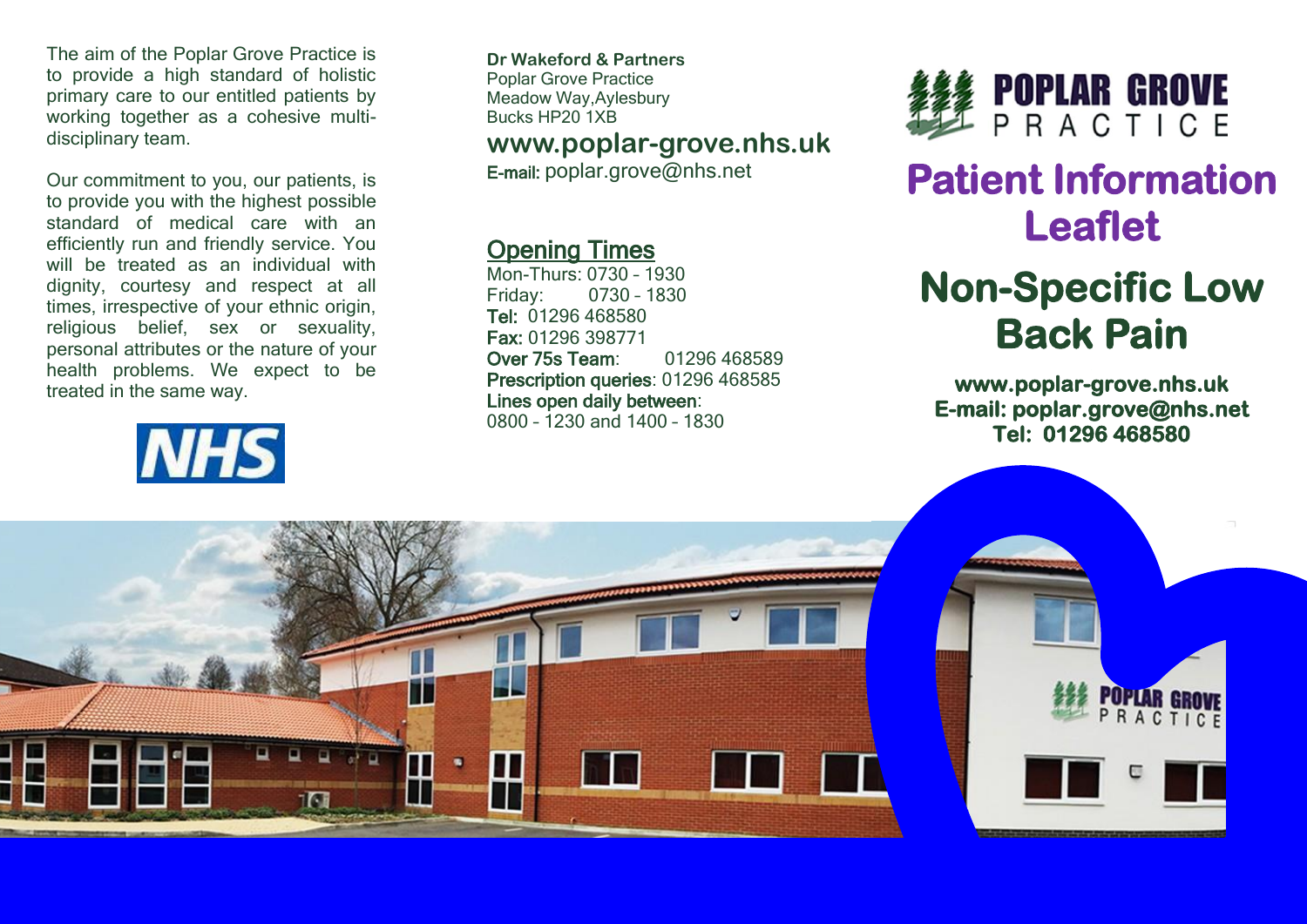The aim of the Poplar Grove Practice is to provide a high standard of holistic primary care to our entitled patients by working together as a cohesive multidisciplinary team.

Our commitment to you, our patients, is to provide you with the highest possible standard of medical care with an efficiently run and friendly service. You will be treated as an individual with dignity, courtesy and respect at all times, irrespective of your ethnic origin, religious belief, sex or sexuality, personal attributes or the nature of your health problems. We expect to be treated in the same way.

# **NHS**

**Dr Wakeford & Partners** Poplar Grove Practice Meadow Way,Aylesbury Bucks HP20 1XB

### **www.poplar-grove.nhs.uk**

E-mail: [poplar.grove@nhs.net](mailto:poplar.grove@nhs.net)

### Opening Times

Mon-Thurs: 0730 – 1930 Friday: 0730 – 1830 Tel: 01296 468580 Fax: 01296 398771 Over 75s Team: 01296 468589 Prescription queries: 01296 468585 Lines open daily between: 0800 – 1230 and 1400 – 1830



# **Patient Information Leaflet**

## **Non-Specific Low Back Pain**

**www.poplar-grove.nhs.uk E-mail: poplar.grove@nhs.net Tel: 01296 468580**